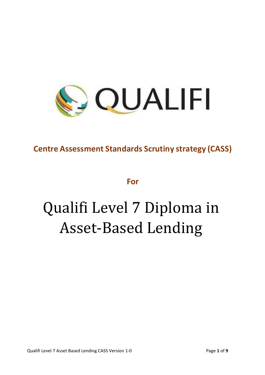

# **Centre Assessment Standards Scrutiny strategy (CASS)**

**For**

# Qualifi Level 7 Diploma in Asset-Based Lending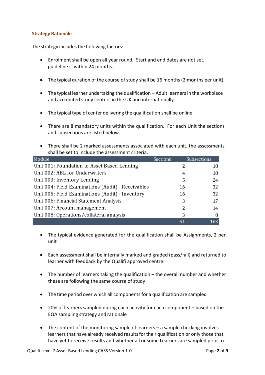#### **Strategy Rationale**

The strategy includes the following factors:

- Enrolment shall be open all year round. Start and end dates are not set, guideline is within 24 months.
- $\bullet$  The typical duration of the course of study shall be 16 months (2 months per unit).
- The typical learner undertaking the qualification Adult learners in the workplace and accredited study centers in the UK and internationally
- The typical type of center delivering the qualification shall be online
- There are 8 mandatory units within the qualification. For each Unit the sections and subsections are listed below.
- There shall be 2 marked assessments associated with each unit, the assessments shall be set to include the assessment criteria.

| Module                                             | <b>Sections</b> |    | Subsections |
|----------------------------------------------------|-----------------|----|-------------|
| Unit 001: Foundation to Asset Based Lending        |                 | 2  | 18          |
| Unit 002: ABL for Underwriters                     |                 | 4  | 18          |
| Unit 003: Inventory Lending                        |                 | 5  | 24          |
| Unit 004: Field Examinations (Audit) - Receivables |                 | 16 | 32          |
| Unit 005: Field Examinations (Audit) - Inventory   |                 | 16 | 32          |
| Unit 006: Financial Statement Analysis             |                 | 3  | 17          |
| Unit 007: Account management                       |                 | 2  | 14          |
| Unit 008: Operations/collateral analysis           |                 | 3  | 8           |
|                                                    |                 | 51 | 163         |

- The typical evidence generated for the qualification shall be Assignments, 2 per unit
- Each assessment shall be internally marked and graded (pass/fail) and returned to learner with feedback by the Qualifi approved centre.
- The number of learners taking the qualification the overall number and whether these are following the same course of study
- The time period over which all components for a qualification are sampled
- 20% of learners sampled during each activity for each component based on the EQA sampling strategy and rationale
- The content of the monitoring sample of learners a sample checking involves learners that have already received results for their qualification or only those that have yet to receive results and whether all or some Learners are sampled prior to

Qualifi Level 7 Asset Based Lending CASS Version 1-0 Page **2** of **9**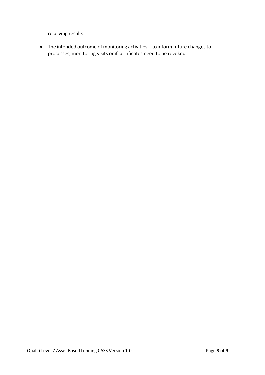receiving results

• The intended outcome of monitoring activities – to inform future changesto processes, monitoring visits or if certificates need to be revoked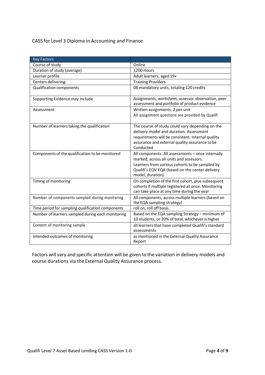## CASS for Level 3 Diploma in Accounting and Finance

| <b>Key Factors</b>                                |                                                                                                                                                                                                                       |  |
|---------------------------------------------------|-----------------------------------------------------------------------------------------------------------------------------------------------------------------------------------------------------------------------|--|
| Course of study                                   | Online                                                                                                                                                                                                                |  |
| Duration of study (average)                       | 1200 Hours                                                                                                                                                                                                            |  |
| Learner profile                                   | Adult learners, aged 19+                                                                                                                                                                                              |  |
| Centers delivering                                | <b>Training Providers</b>                                                                                                                                                                                             |  |
| <b>Qualification components</b>                   | 08 mandatory units, totaling 120 credits                                                                                                                                                                              |  |
| Supporting Evidence may include                   | Assignments, worksheet, assessor observation, peer<br>assessment and portfolio of product evidence                                                                                                                    |  |
| Assessment:                                       | Written assignments, 2 per unit<br>All assignment questions are provided by Qualifi                                                                                                                                   |  |
| Number of learners taking the qualification       | The course of study could vary depending on the<br>delivery model and duration. Assessment<br>requirements will be consistent. Internal quality<br>assurance and external quality assurance to be<br>Conducted        |  |
| Components of the qualification to be monitored   | All components. All assessments - once internally<br>marked, across all units and assessors.<br>Learners from various cohorts to be sampled by<br>Qualifi's EQV EQA (based on the center delivery<br>model, duration) |  |
| Timing of monitoring                              | On completion of the first cohort, plus subsequent<br>cohorts if multiple registered at once. Monitoring<br>can take place at any time during the year                                                                |  |
| Number of components sampled during monitoring    | All components, across multiple learners (based on<br>the EQA sampling strategy)                                                                                                                                      |  |
| Time period for sampling qualification components | roll on, roll off basis.                                                                                                                                                                                              |  |
| Number of learners sampled during each monitoring | Based on the EQA sampling Strategy - minimum of<br>10 students, or 20% of total, whichever is higher                                                                                                                  |  |
| Content of monitoring sample                      | all learners that have completed Qualifi's standard<br>assessments                                                                                                                                                    |  |
| Intended outcomes of monitoring                   | as mentioned in the External Quality Assurance<br>Report                                                                                                                                                              |  |

Factors will vary and specific attention will be given to the variation in delivery models and course durations via the External Quality Assurance process.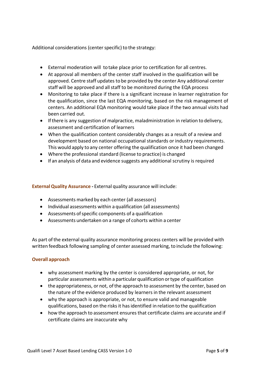Additional considerations (center specific) to the strategy:

- External moderation will totake place prior to certification for all centres.
- At approval all members of the center staff involved in the qualification will be approved. Centre staff updates to be provided by the center Any additional center staff will be approved and allstaff to be monitored during the EQA process
- Monitoring to take place if there is a significant increase in learner registration for the qualification, since the last EQA monitoring, based on the risk management of centers. An additional EQA monitoring would take place if the two annual visits had been carried out.
- Ifthere is any suggestion of malpractice, maladministration in relation to delivery, assessment and certification of learners
- When the qualification content considerably changes as a result of a review and development based on national occupational standards or industry requirements. This would apply to any center offering the qualification once it had been changed
- Where the professional standard (license to practice) is changed
- If an analysis of data and evidence suggests any additional scrutiny is required

**External Quality Assurance - External quality assurance will include:** 

- Assessments marked by each center (all assessors)
- Individual assessments within a qualification (all assessments)
- Assessments of specific components of a qualification
- Assessments undertaken on a range of cohorts within a center

As part ofthe external quality assurance monitoring process centers will be provided with written feedback following sampling of center assessed marking, to include the following:

#### **Overall approach**

- why assessment marking by the center is considered appropriate, or not, for particular assessments within a particular qualification ortype of qualification
- the appropriateness, or not, ofthe approach to assessment by the center, based on the nature of the evidence produced by learners in the relevant assessment
- why the approach is appropriate, or not, to ensure valid and manageable qualifications, based on the risksit hasidentified in relation to the qualification
- how the approach to assessment ensures that certificate claims are accurate and if certificate claims are inaccurate why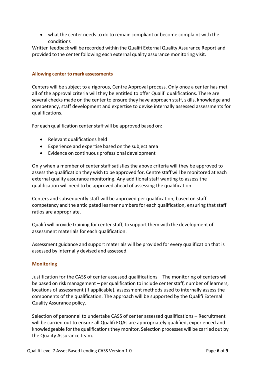• what the center needs to do to remain compliant or become complaint with the conditions

Written feedback will be recorded within the Qualifi External Quality Assurance Report and provided to the center following each external quality assurance monitoring visit.

#### **Allowing center to mark assessments**

Centers will be subject to a rigorous, Centre Approval process. Only once a center has met all of the approval criteria will they be entitled to offer Qualifi qualifications. There are several checks made on the center to ensure they have approach staff, skills, knowledge and competency, staff development and expertise to devise internally assessed assessments for qualifications.

For each qualification center staff will be approved based on:

- Relevant qualifications held
- Experience and expertise based on the subject area
- Evidence on continuous professional development

Only when a member of center staff satisfies the above criteria will they be approved to assess the qualification they wish to be approved for. Centre staff will be monitored at each external quality assurance monitoring. Any additional staff wanting to assess the qualification will need to be approved ahead of assessing the qualification.

Centers and subsequently staff will be approved per qualification, based on staff competency and the anticipated learner numbers for each qualification, ensuring that staff ratios are appropriate.

Qualifi will provide training for centerstaff, to support them with the development of assessment materials for each qualification.

Assessment guidance and support materials will be provided for every qualification that is assessed by internally devised and assessed.

### **Monitoring**

Justification for the CASS of center assessed qualifications – The monitoring of centers will be based on risk management – per qualification to include center staff, number of learners, locations of assessment (if applicable), assessment methods used to internally assess the components of the qualification. The approach will be supported by the Qualifi External Quality Assurance policy.

Selection of personnel to undertake CASS of center assessed qualifications – Recruitment will be carried out to ensure all Qualifi EQAs are appropriately qualified, experienced and knowledgeable forthe qualificationsthey monitor. Selection processes will be carried out by the Quality Assurance team.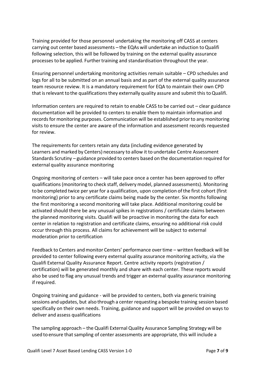Training provided for those personnel undertaking the monitoring off CASS at centers carrying out center based assessments – the EQAs will undertake an induction toQualifi following selection, this will be followed by training on the external quality assurance processes to be applied. Further training and standardisation throughout the year.

Ensuring personnel undertaking monitoring activities remain suitable – CPD schedules and logs for all to be submitted on an annual basis and as part of the external quality assurance team resource review. It is a mandatory requirement for EQA to maintain their own CPD that is relevant to the qualifications they externally quality assure and submit this to Qualifi.

Information centers are required to retain to enable CASS to be carried out – clear guidance documentation will be provided to centers to enable them to maintain information and records for monitoring purposes. Communication will be established prior to any monitoring visits to ensure the center are aware of the information and assessment records requested for review.

The requirements for centers retain any data (including evidence generated by Learners and marked by Centers) necessary to allow it to undertake Centre Assessment Standards Scrutiny – guidance provided to centers based on the documentation required for external quality assurance monitoring

Ongoing monitoring of centers – will take pace once a center has been approved to offer qualifications(monitoring to check staff, delivery model, planned assessments). Monitoring to be completed twice per year for a qualification, upon completion of the first cohort (first monitoring) prior to any certificate claims being made by the center. Six months following the first monitoring a second monitoring will take place. Additional monitoring could be activated should there be any unusual spikes in registrations / certificate claims between the planned monitoring visits. Qualifi will be proactive in monitoring the data for each center in relation to registration and certificate claims, ensuring no additional risk could occur through this process. All claims for achievement will be subject to external moderation prior to certification

Feedback to Centers and monitor Centers' performance over time – written feedback will be provided to center following every external quality assurance monitoring activity, via the Qualifi External Quality Assurance Report. Centre activity reports (registration / certification) will be generated monthly and share with each center. These reports would also be used to flag any unusual trends and trigger an external quality assurance monitoring if required.

Ongoing training and guidance - will be provided to centers, both via generic training sessions and updates, but also through a center requesting a bespoke training session based specifically on their own needs. Training, guidance and support will be provided on ways to deliver and assess qualifications

The sampling approach – the Qualifi External Quality Assurance Sampling Strategy will be used to ensure that sampling of center assessments are appropriate, this will include a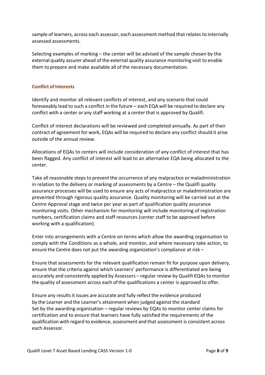sample of learners, across each assessor, each assessment method that relates to internally assessed assessments.

Selecting examples of marking – the center will be advised of the sample chosen by the external quality assurer ahead of the external quality assurance monitoring visit to enable them to prepare and make available all of the necessary documentation.

#### **Conflict of Interests**

Identify and monitor all relevant conflicts of interest, and any scenario that could foreseeably lead to such a conflict in the future – each EQA will be required to declare any conflict with a center or any staff working at a center that is approved by Qualifi.

Conflict of interest declarations will be reviewed and completed annually. As part of their contract of agreement for work, EQAs will be required to declare any conflict should it arise outside of the annual review.

Allocations of EQAs to centers will include consideration of any conflict of interest that has been flagged. Any conflict of interest will lead to an alternative EQA being allocated to the center.

Take all reasonable steps to prevent the occurrence of any malpractice or maladministration in relation to the delivery or marking of assessments by a Centre – the Qualifi quality assurance processes will be used to ensure any acts of malpractice or maladministration are prevented through rigorous quality assurance. Quality monitoring will be carried out at the Centre Approval stage and twice per year as part of qualification quality assurance monitoring visits. Other mechanism for monitoring will include monitoring of registration numbers, certification claims and staff resources (center staff to be approved before working with a qualification).

Enter into arrangements with a Centre on terms which allow the awarding organisation to comply with the Conditions as a whole, and monitor, and where necessary take action, to ensure the Centre does not put the awarding organization's compliance at risk –

Ensure that assessments for the relevant qualification remain fit for purpose upon delivery, ensure that the criteria against which Learners' performance is differentiated are being accurately and consistently applied by Assessors – regular review by Qualifi EQAs to monitor the quality of assessment across each ofthe qualifications a center is approved to offer.

Ensure any results it issues are accurate and fully reflect the evidence produced by the Learner and the Learner's attainment when judged against the standard Set by the awarding organisation – regular reviews by EQAs to monitor center claims for certification and to ensure that learners have fully satisfied the requirements of the qualification with regard to evidence, assessment and that assessment is consistent across each Assessor.